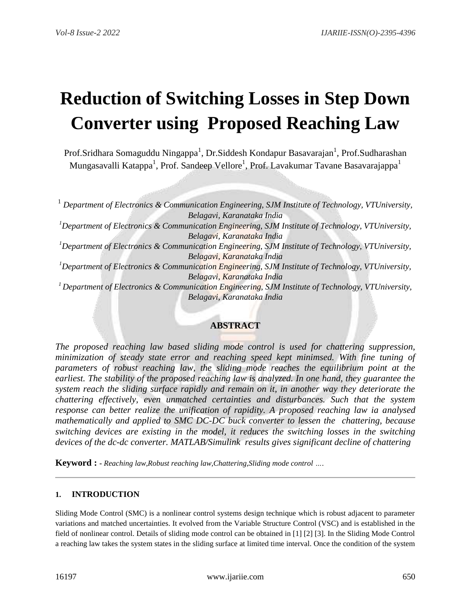# **Reduction of Switching Losses in Step Down Converter using Proposed Reaching Law**

Prof.Sridhara Somaguddu Ningappa $^1$ , Dr.Siddesh Kondapur Basavarajan $^1$ , Prof.Sudharashan Mungasavalli Katappa $^1$ , Prof. Sandeep Vellore $^1$ , Prof. Lavakumar Tavane Basavarajappa $^1$ 

<sup>1</sup> *Department of Electronics & Communication Engineering, SJM Institute of Technology, VTUniversity, Belagavi, Karanataka India <sup>1</sup>Department of Electronics & Communication Engineering, SJM Institute of Technology, VTUniversity, Belagavi, Karanataka India <sup>1</sup>Department of Electronics & Communication Engineering, SJM Institute of Technology, VTUniversity, Belagavi, Karanataka India <sup>1</sup>Department of Electronics & Communication Engineering, SJM Institute of Technology, VTUniversity, Belagavi, Karanataka India <sup>1</sup>Department of Electronics & Communication Engineering, SJM Institute of Technology, VTUniversity, Belagavi, Karanataka India*

## **ABSTRACT**

*The proposed reaching law based sliding mode control is used for chattering suppression, minimization of steady state error and reaching speed kept minimsed. With fine tuning of parameters of robust reaching law, the sliding mode reaches the equilibrium point at the earliest. The stability of the proposed reaching law is analyzed. In one hand, they guarantee the system reach the sliding surface rapidly and remain on it, in another way they deteriorate the chattering effectively, even unmatched certainties and disturbances. Such that the system response can better realize the unification of rapidity. A proposed reaching law ia analysed mathematically and applied to SMC DC-DC buck converter to lessen the chattering, because switching devices are existing in the model, it reduces the switching losses in the switching devices of the dc-dc converter. MATLAB/Simulink results gives significant decline of chattering*

**Keyword : -** *Reaching law,Robust reaching law,Chattering,Sliding mode control ….*

## **1. INTRODUCTION**

Sliding Mode Control (SMC) is a nonlinear control systems design technique which is robust adjacent to parameter variations and matched uncertainties. It evolved from the Variable Structure Control (VSC) and is established in the field of nonlinear control. Details of sliding mode control can be obtained in [1] [2] [3]. In the Sliding Mode Control a reaching law takes the system states in the sliding surface at limited time interval. Once the condition of the system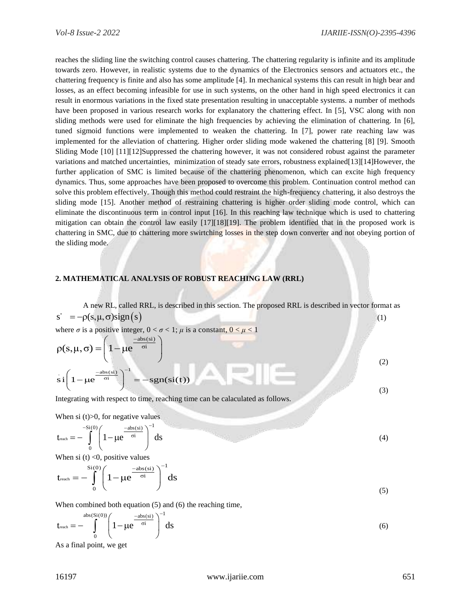reaches the sliding line the switching control causes chattering. The chattering regularity is infinite and its amplitude towards zero. However, in realistic systems due to the dynamics of the Electronics sensors and actuators etc., the chattering frequency is finite and also has some amplitude [4]. In mechanical systems this can result in high bear and losses, as an effect becoming infeasible for use in such systems, on the other hand in high speed electronics it can result in enormous variations in the fixed state presentation resulting in unacceptable systems. a number of methods have been proposed in various research works for explanatory the chattering effect. In [5], VSC along with non sliding methods were used for eliminate the high frequencies by achieving the elimination of chattering. In [6], tuned sigmoid functions were implemented to weaken the chattering. In [7], power rate reaching law was implemented for the alleviation of chattering. Higher order sliding mode wakened the chattering [8] [9]. Smooth Sliding Mode [10] [11][12]Suppressed the chattering however, it was not considered robust against the parameter variations and matched uncertainties, minimization of steady sate errors, robustness explained[13][14]However, the further application of SMC is limited because of the chattering phenomenon, which can excite high frequency dynamics. Thus, some approaches have been proposed to overcome this problem. Continuation control method can solve this problem effectively. Though this method could restraint the high-frequency chattering, it also destroys the sliding mode [15]. Another method of restraining chattering is higher order sliding mode control, which can eliminate the discontinuous term in control input [16]. In this reaching law technique which is used to chattering mitigation can obtain the control law easily [17][18][19]. The problem identified that in the proposed work is chattering in SMC, due to chattering more swirtching losses in the step down converter and not obeying portion of the sliding mode.

#### **2. MATHEMATICAL ANALYSIS OF ROBUST REACHING LAW (RRL)**

A new RL, called RRL, is described in this section. The proposed RRL is described in vector format as  $s' = -\rho(s, \mu, \sigma)$ sign $(s)$  (1)

where  $\sigma$  is a positive integer,  $0 < \sigma < 1$ ;  $\mu$  is a constant,  $0 < \mu < 1$ <br> $\sigma(\sigma \dots \sigma)$   $\left(1 + \frac{-\text{abs}(s)}{\sigma^2}\right)$ 

$$
\rho(s,\mu,\sigma) = \left(1 - \mu e^{\frac{-abs(si)}{\sigma i}}\right)
$$
  
 
$$
si\left(1 - \mu e^{\frac{-abs(si)}{\sigma i}}\right)^{-1} = -sgn(si(t))
$$
 (3)

Integrating with respect to time, reaching time can be calaculated as follows.

When si  $(t)$ >0, for negative values

$$
t_{\text{reach}} = -\int_{0}^{-5i(0)} \left(1 - \mu e^{\frac{-\text{abs}(si)}{\sigma i}}\right)^{-1} ds \tag{4}
$$

When si (t) <0, positive values  
\n
$$
\mathbf{t}_{\text{reach}} = -\int_{0}^{\text{Si}(0)} \left(1 - \mu e^{\frac{-\text{abs}(si)}{\sigma i}}\right)^{-1} \text{d}s
$$
\n(5)

When combined both equation (5) and (6) the reaching time,  
\n
$$
t_{\text{reach}} = -\int_{0}^{\text{abs}(Si(0))} \left(1 - \mu e^{-\frac{-\text{abs}(Si)}{\sigma i}}\right)^{-1} ds
$$
\n(6)

As a final point, we get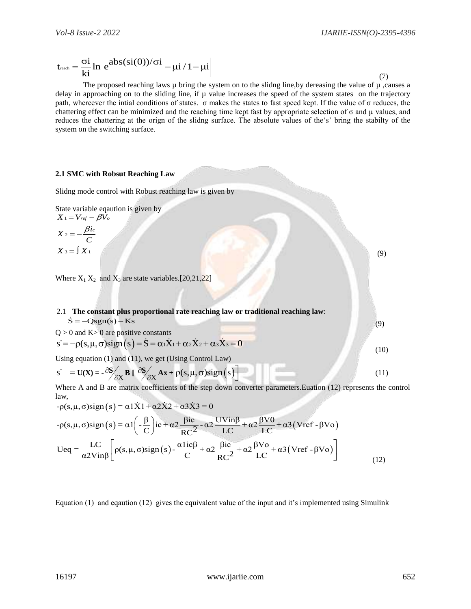(9)

(9)

$$
t_{\text{reach}} = \frac{\sigma i}{k i} \ln \left| e^{ab s (si(0))/\sigma i} - \mu i / 1 - \mu i \right| \tag{7}
$$

The proposed reaching laws  $\mu$  bring the system on to the slidng line, by dereasing the value of  $\mu$ , causes a delay in approaching on to the sliding line, if  $\mu$  value increases the speed of the system states on the trajectory path, whereever the intial conditions of states. σ makes the states to fast speed kept. If the value of σ reduces, the chattering effect can be minimized and the reaching time kept fast by appropriate selection of  $\sigma$  and  $\mu$  values, and reduces the chattering at the orign of the slidng surface. The absolute values of the's' bring the stabilty of the system on the switching surface.

#### **2.1 SMC with Robsut Reaching Law**

Slidng mode control with Robust reaching law is given by

State variable eqaution is given by  $X$  1 =  $V$  ref  $-\beta \dot{V_o}$ 

$$
X_2 = -\frac{\beta i_c}{C}
$$

$$
X_3 = \int X_1
$$

Where  $X_1 X_2$  and  $X_3$  are state variables.[20,21,22]

2.1 **The constant plus proportional rate reaching law or traditional reaching law**:  $\dot{S} = -Qsgn(s) - Ks$  $Q = 1 K_1 Q$ 

$$
S = -Qsgn(s) - Ks
$$
  
Q > 0 and K> 0 are positive constants  

$$
S = -\rho(s, \mu, \sigma)sign(s) = \dot{S} = \alpha_1 \dot{X}_1 + \alpha_2 \dot{X}_2 + \alpha_3 \dot{X}_3 = 0
$$
  
Using equation (1) and (11), we get (Using Control Law) (10)

Using equation (1) and (11), we get (Using Control Law)  
\n
$$
\mathbf{s'} = \mathbf{U}(\mathbf{X}) = -\frac{\partial \mathbf{S}}{\partial \mathbf{X}} \mathbf{B} \left[ \frac{\partial \mathbf{S}}{\partial \mathbf{X}} \mathbf{A} \mathbf{x} + \rho(\mathbf{s}, \mu, \sigma) \text{sign}(\mathbf{s}) \right]
$$
\n(11)

Where A and B are matrix coefficients of the step down converter parameters.Euation (12) represents the control law,  $S = U(X) = -\frac{\omega}{\partial X} B \left[ \frac{\omega}{\partial X} A x + \rho(S, \mu, \sigma) sign(S) \right]$ <br>Where A and B are matrix coefficients of the step down convertions,<br> $-\rho(S, \mu, \sigma) sign(S) = \alpha 1 \dot{X} 1 + \alpha 2 \dot{X} 2 + \alpha 3 \dot{X} 3 = 0$  $U(X) = -\frac{\omega}{\partial X} B I \frac{\omega}{\partial X}$ <br>
Where A and B are matrix coeff<br>  $ρ(s, μ, σ) sign(s) = α1X1 + α$ 

$$
-\rho(s,\mu,\sigma)\text{sign}(s) = \alpha 1X1 + \alpha 2X2 + \alpha 3X3 = 0
$$

Where A and B are matrix coefficients of the step down converter parameters.  
\nEuation (12) represents the law,  
\n
$$
-\rho(s,\mu,\sigma)sign(s) = \alpha 1\dot{X}1 + \alpha 2\dot{X}2 + \alpha 3\dot{X}3 = 0
$$
\n
$$
-\rho(s,\mu,\sigma)sign(s) = \alpha 1\left(-\frac{\beta}{C}\right)ic + \alpha 2\frac{\beta ic}{RC^2} - \alpha 2\frac{UVin\beta}{LC} + \alpha 2\frac{\beta V0}{LC} + \alpha 3(Vref - \beta V0)
$$
\n
$$
Ueq = \frac{LC}{\alpha 2Vin\beta} \left[\rho(s,\mu,\sigma)sign(s) - \frac{\alpha 1ic\beta}{C} + \alpha 2\frac{\beta ic}{RC^2} + \alpha 2\frac{\beta V0}{LC} + \alpha 3(Vref - \beta V0)\right]
$$
\n(12)

Equation (1) and eqaution (12) gives the equivalent value of the input and it's implemented using Simulink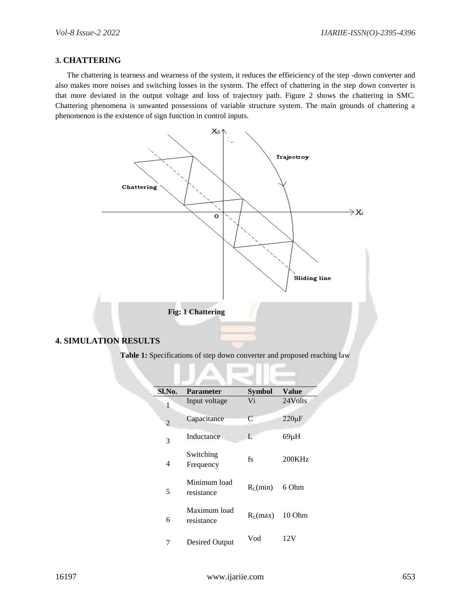#### **3. CHATTERING**

 The chattering is tearness and wearness of the system, it reduces the effieiciency of the step -down converter and also makes more noises and switching losses in the system. The effect of chattering in the step down converter is that more deviated in the output voltage and loss of trajectory path. Figure 2 shows the chattering in SMC. Chattering phenomena is unwanted possessions of variable structure system. The main grounds of chattering a phenomenon is the existence of sign function in control inputs.



Table 1: Specifications of step down converter and proposed reaching law

| Sl.No. | <b>Parameter</b>           | <b>Symbol</b>     | <b>Value</b> |
|--------|----------------------------|-------------------|--------------|
| 1      | Input voltage              | Vi                | 24Volts      |
| 2      | Capacitance                | C                 | $220 \mu F$  |
| 3      | Inductance                 | L                 | $69\mu H$    |
| 4      | Switching<br>Frequency     | fs                | 200KHz       |
| 5      | Minimum load<br>resistance | $R_{\rm L}$ (min) | 6 Ohm        |
| 6      | Maximum load<br>resistance | $R_{I}$ (max)     | 10 Ohm       |
| 7      | Desired Output             | Vod               | 12.V         |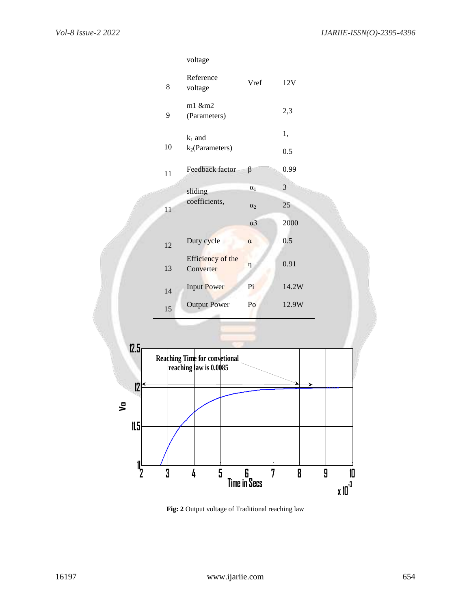

**Fig: 2** Output voltage of Traditional reaching law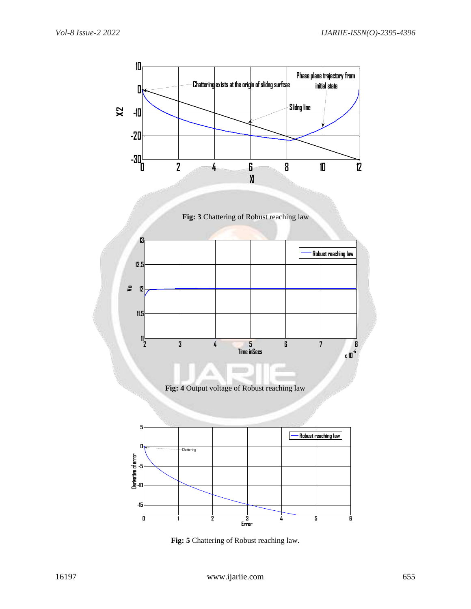

**Fig: 5** Chattering of Robust reaching law.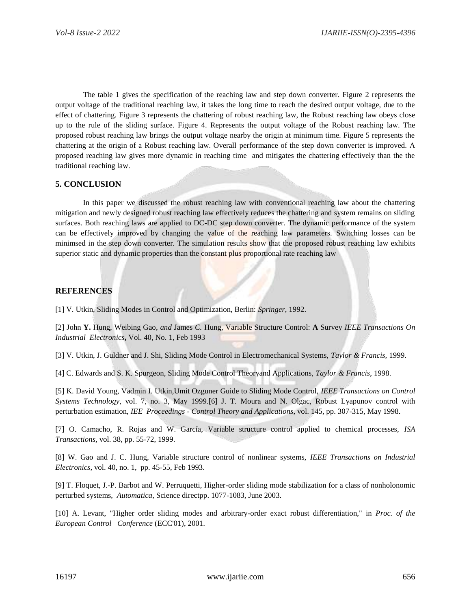The table 1 gives the specification of the reaching law and step down converter. Figure 2 represents the output voltage of the traditional reaching law, it takes the long time to reach the desired output voltage, due to the effect of chattering. Figure 3 represents the chattering of robust reaching law, the Robust reaching law obeys close up to the rule of the sliding surface. Figure 4. Represents the output voltage of the Robust reaching law. The proposed robust reaching law brings the output voltage nearby the origin at minimum time. Figure 5 represents the chattering at the origin of a Robust reaching law. Overall performance of the step down converter is improved. A proposed reaching law gives more dynamic in reaching time and mitigates the chattering effectively than the the traditional reaching law.

## **5. CONCLUSION**

In this paper we discussed the robust reaching law with conventional reaching law about the chattering mitigation and newly designed robust reaching law effectively reduces the chattering and system remains on sliding surfaces. Both reaching laws are applied to DC-DC step down converter. The dynamic performance of the system can be effectively improved by changing the value of the reaching law parameters. Switching losses can be minimsed in the step down converter. The simulation results show that the proposed robust reaching law exhibits superior static and dynamic properties than the constant plus proportional rate reaching law

### **REFERENCES**

[1] V. Utkin, Sliding Modes in Control and Optimization, Berlin: *Springer*, 1992.

[2] John **Y.** Hung, Weibing Gao, *and* James *C.* Hung, Variable Structure Control: **A** Survey *IEEE Transactions On Industrial Electronics***,** Vol. 40, No. 1, Feb 1993

[3] V. Utkin, J. Guldner and J. Shi, Sliding Mode Control in Electromechanical Systems, *Taylor & Francis,* 1999.

[4] C. Edwards and S. K. Spurgeon, Sliding Mode Control Theoryand Applications, *Taylor & Francis*, 1998.

[5] K. David Young, Vadmin I. Utkin,Umit Ozguner Guide to Sliding Mode Control, *IEEE Transactions on Control Systems Technology*, vol. 7, no. 3, May 1999.[6] J. T. Moura and N. Olgac, Robust Lyapunov control with perturbation estimation, *IEE Proceedings - Control Theory and Applications*, vol. 145, pp. 307-315, May 1998.

[7] O. Camacho, R. Rojas and W. García, Variable structure control applied to chemical processes, *ISA Transactions,* vol. 38, pp. 55-72, 1999.

[8] W. Gao and J. C. Hung, Variable structure control of nonlinear systems, *IEEE Transactions on Industrial Electronics,* vol. 40, no. 1, pp. 45-55, Feb 1993.

[9] T. Floquet, J.-P. Barbot and W. Perruquetti, Higher-order sliding mode stabilization for a class of nonholonomic perturbed systems, *Automatica*, Science directpp. 1077-1083, June 2003.

[10] A. Levant, "Higher order sliding modes and arbitrary-order exact robust differentiation," in *Proc. of the European Control Conference* (ECC'01), 2001.